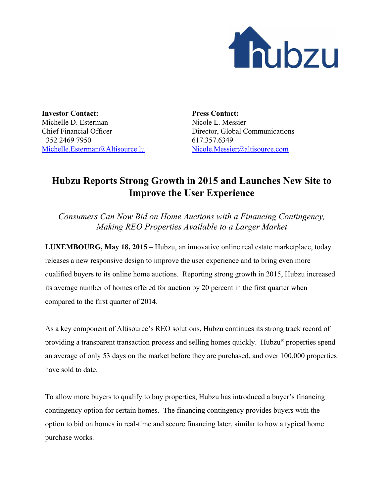

**Investor Contact:** Michelle D. Esterman Chief Financial Officer +352 2469 7950 [Michelle.Esterman@Altisource.lu](mailto:Michelle.Esterman@Altisource.lu)

**Press Contact:** Nicole L. Messier Director, Global Communications 617.357.6349 [Nicole.Messier@altisource.com](mailto:Nicole.Messier@altisource.com)

## **Hubzu Reports Strong Growth in 2015 and Launches New Site to Improve the User Experience**

*Consumers Can Now Bid on Home Auctions with a Financing Contingency, Making REO Properties Available to a Larger Market*

**LUXEMBOURG, May 18, 2015**– Hubzu, an innovative online real estate marketplace, today releases a new responsive design to improve the user experience and to bring even more qualified buyers to its online home auctions. Reporting strong growth in 2015, Hubzu increased its average number of homes offered for auction by 20 percent in the first quarter when compared to the first quarter of 2014.

As a key component of Altisource's REO solutions, Hubzu continues its strong track record of providing a transparent transaction process and selling homes quickly. Hubzu<sup>®</sup> properties spend an average of only 53 days on the market before they are purchased, and over 100,000 properties have sold to date.

To allow more buyers to qualify to buy properties, Hubzu has introduced a buyer's financing contingency option for certain homes. The financing contingency provides buyers with the option to bid on homes in real-time and secure financing later, similar to how a typical home purchase works.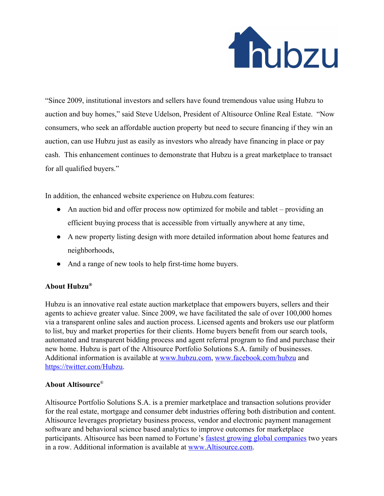

"Since 2009, institutional investors and sellers have found tremendous value using Hubzu to auction and buy homes," said Steve Udelson, President of Altisource Online Real Estate. "Now consumers, who seek an affordable auction property but need to secure financing if they win an auction, can use Hubzu just as easily as investors who already have financing in place or pay cash. This enhancement continues to demonstrate that Hubzu is a great marketplace to transact for all qualified buyers."

In addition, the enhanced website experience on Hubzu.com features:

- An auction bid and offer process now optimized for mobile and tablet providing an efficient buying process that is accessible from virtually anywhere at any time,
- A new property listing design with more detailed information about home features and neighborhoods,
- And a range of new tools to help first-time home buyers.

## **About Hubzu®**

Hubzu is an innovative real estate auction marketplace that empowers buyers, sellers and their agents to achieve greater value. Since 2009, we have facilitated the sale of over 100,000 homes via a transparent online sales and auction process. Licensed agents and brokers use our platform to list, buy and market properties for their clients. Home buyers benefit from our search tools, automated and transparent bidding process and agent referral program to find and purchase their new home. Hubzu is part of the Altisource Portfolio Solutions S.A. family of businesses. Additional information is available at [www.hubzu.com,](http://www.hubzu.com/) [www.facebook.com/hubzu](http://www.facebook.com/hubzu) and [https://twitter.com/Hubzu.](https://twitter.com/Hubzu)

## **About Altisource**®

Altisource Portfolio Solutions S.A. is a premier marketplace and transaction solutions provider for the real estate, mortgage and consumer debt industries offering both distribution and content. Altisource leverages proprietary business process, vendor and electronic payment management software and behavioral science based analytics to improve outcomes for marketplace participants. Altisource has been named to Fortune's fastest growing global [companies](http://fortune.com/100-fastest-growing-companies/altisource-portfolio-solutions-26/) two years in a row. Additional information is available at [www.Altisource.com.](http://www.altisource.com/?utm_campaign=ASPS_General%7CHubzu_2015_May_Update_PR&utm_source=PR&utm_medium=PR&utm_content=boilerplate_link)